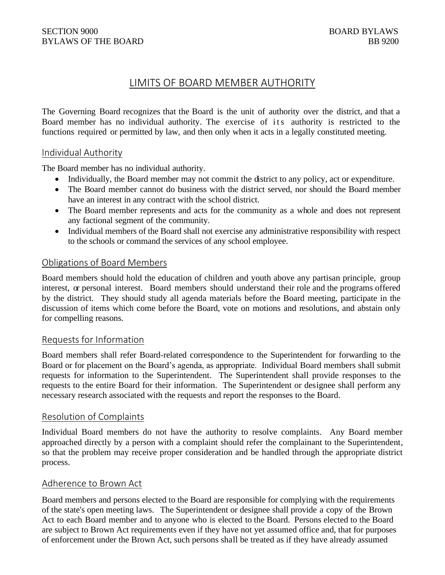# LIMITS OF BOARD MEMBER AUTHORITY

The Governing Board recognizes that the Board is the unit of authority over the district, and that a Board member has no individual authority. The exercise of its authority is restricted to the functions required or permitted by law, and then only when it acts in a legally constituted meeting.

#### Individual Authority

The Board member has no individual authority.

- Individually, the Board member may not commit the district to any policy, act or expenditure.
- The Board member cannot do business with the district served, nor should the Board member have an interest in any contract with the school district.
- The Board member represents and acts for the community as a whole and does not represent any factional segment of the community.
- Individual members of the Board shall not exercise any administrative responsibility with respect to the schools or command the services of any school employee.

# Obligations of Board Members

Board members should hold the education of children and youth above any partisan principle, group interest, or personal interest. Board members should understand their role and the programs offered by the district. They should study all agenda materials before the Board meeting, participate in the discussion of items which come before the Board, vote on motions and resolutions, and abstain only for compelling reasons.

#### Requests for Information

Board members shall refer Board-related correspondence to the Superintendent for forwarding to the Board or for placement on the Board's agenda, as appropriate. Individual Board members shall submit requests for information to the Superintendent. The Superintendent shall provide responses to the requests to the entire Board for their information. The Superintendent or designee shall perform any necessary research associated with the requests and report the responses to the Board.

#### Resolution of Complaints

Individual Board members do not have the authority to resolve complaints. Any Board member approached directly by a person with a complaint should refer the complainant to the Superintendent, so that the problem may receive proper consideration and be handled through the appropriate district process.

#### Adherence to Brown Act

Board members and persons elected to the Board are responsible for complying with the requirements of the state's open meeting laws. The Superintendent or designee shall provide a copy of the Brown Act to each Board member and to anyone who is elected to the Board. Persons elected to the Board are subject to Brown Act requirements even if they have not yet assumed office and, that for purposes of enforcement under the Brown Act, such persons shall be treated as if they have already assumed